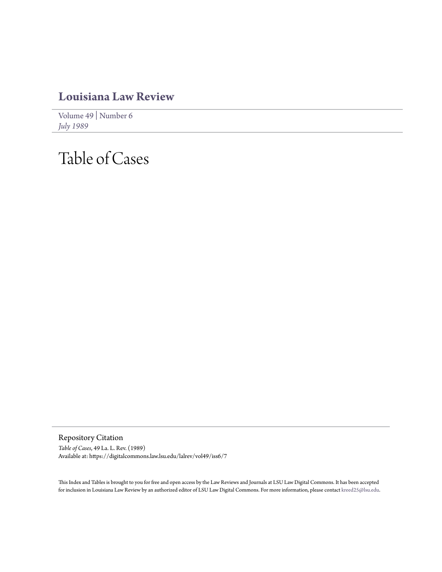## **[Louisiana Law Review](https://digitalcommons.law.lsu.edu/lalrev)**

[Volume 49](https://digitalcommons.law.lsu.edu/lalrev/vol49) | [Number 6](https://digitalcommons.law.lsu.edu/lalrev/vol49/iss6) *[July 1989](https://digitalcommons.law.lsu.edu/lalrev/vol49/iss6)*

## Table of Cases

Repository Citation *Table of Cases*, 49 La. L. Rev. (1989) Available at: https://digitalcommons.law.lsu.edu/lalrev/vol49/iss6/7

This Index and Tables is brought to you for free and open access by the Law Reviews and Journals at LSU Law Digital Commons. It has been accepted for inclusion in Louisiana Law Review by an authorized editor of LSU Law Digital Commons. For more information, please contact [kreed25@lsu.edu](mailto:kreed25@lsu.edu).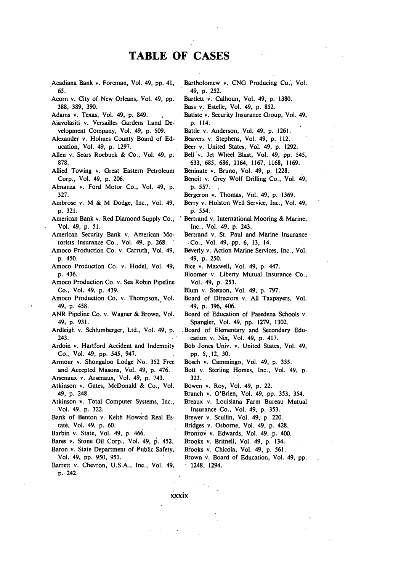## **TABLE OF CASES**

- Acadiana Bank v. Foreman, Vol. 49, **pp.** 41, **65.**
- Acorn v. City of New Orleans, Vol. 49, **pp. 388, 389, 390.**
- Adams v. Texas, Vol. 49, **p.** 849.
- Aiavolasiti v. Versailles Gardens Land Development Company, Vol. 49, **p. 509.**
- Alexander v. Holmes County Board of **Ed**ucation, Vol. 49, **p. 1297.**
- Allen v. Sears Roebuck **&** Co., Vol. 49, **p. 878.**
- Allied Towing v. Great Eastern Petroleum Corp., Vol. 49, **p. 206.**
- Almanza v. Ford Motor Co., Vol. 49, **p. 327.**
- Ambrose v. M **&** M Dodge, Inc., Vol. 49, **p. 321.**
- American Bank v. Red Diamond Supply Co., Vol. 49, **p. 51.**
- American Security Bank v. American Motorists Insurance Co., Vol. 49, **p. 268. '**
- Amoco Production Co. v. Carruth, Vol. 49, **p.** 450.
- Amoco Production Co. v. Hodel, Vol. 49, **p.** 436.
- Amoco Production Co. v. Sea Robin Pipeline Co., Vol. 49, **p.** 439.
- Amoco Production Co. v. Thompson, Vol. 49, **p.** 458.
- ANR Pipeline Co. v. Wagner **&** Brown, Vol. 49, **p. 931.**
- Ardleigh v. Schlumberger, Ltd., Vol. 49, **p.** 243.
- Ardoin v. Hartford Accident and Indemnity Co., Vol. 49, **pp.** 545, 947.
- Armour v. Shongaloo Lodge No. 352 Free and Accepted Masons, Vol. 49, **p.** 476.
- Arsenaux v. Arsenaux, Vol. 49, p. 743.
- Atkinson v. Gates, McDonald & Co., Vol. 49, **p.** 248.
- Atkinson v. Total Computer Systems, Inc., Vol. 49, **p.** 322.
- Bank of Benton v. Keith Howard Real Estate, Vol. **49, p. 60.**
- Barbin v. State, Vol. 49, p. 466.
- Bares v. Stone Oil Corp., Vol. 49, **p.** 452.
- Baron v. State Department of Public Safety,' Vol. 49, pp. 950, 951.
- Barrett v. Chevron, **U.S.A.,** Inc., Vol. **49,** p. 242.
- Bartholomew v. **CNG** Producing Co., Vol. ,49, **p. 252.**
- Bartlett v. Calhoun, Vol. 49, p. 1380.
- Bass v. Estelle, Vol. 49, p. 852.
- Batiste v. Security Insurance Group, Vol. 49, p. 114.
- Battle v. Anderson, Vol. 49, p. 1261.
- Beavers v. Stephens, Vol. 49, p. 112.
- Beer v. United States, Vol. 49, p. 1292.
- Bell 'v. Jet Wheel Blast, Vol. 49, **pp.** 545, 633, 685, 686, 1164, 1167, 1168, 1169.
- Beninate v. Bruno, Vol. 49, p. 1228.
- Benoit v. Grey Wolf Drilling Co., Vol. 49, p. 557.
- Bergeron v. Thomas, Vol. 49, p. 1369.
- Berry v. Holston Well Service, Inc., Vol. 49, **p.** 554.
- Bertrand v. International Mooring & Marine, Inc., Vol. 49, p. 243.
- Bertrand v. St. Paul and Marine Insurance Co., Vol. 49, pp. 6, 13, 14.
- Beverly v. Action Marine Services, Inc., Vol. 49, p. 250.
- Bice v. Maxwell, Vol. 49, p. 447.
- Bloomer v. Liberty Mutual Insurance Co., Vol. 49, p. 253.
- Blum v. Stetson, Vol. 49, p. 797.
- Board of Directors v. All Taxpayers, Vol. 49, p. 396, 406.
- Board of Education of Pasedena Schools v. **.** Spangler, Vol. 49, pp. 1279, 1302.
- Board of Elementary and Secondary Education v. Nix, Vol. 49, p. 417.
- Bob Jones Univ. v, United States, Vol. 49, pp. 5,12, 30.
- Bosch v. Cammingo, Vol. 49, p. 355.
- Bott v. Sterling Homes, Inc., Vol. 49, p. 323.
- Bowen v. Roy, Vol. 49, p. 22.
- Branch v. O'Brien, Vol. 49, pp. 353, 354.
- Breaux v. Louisiana Farm Bureau Mutual Insurance Co., Vol. 49, p. 353.
- Brewer v. Scullin, Vol. 49, p. 220.
- Bridges v. Osborne, Vol. 49, p. 428.
- Bronrov v. Edwards, Vol. 49, p. 400.
- Brooks v. Britnell, Vol. 49, p. 134.
- Brooks v. Chicola, Vol. 49, p. 561.
- Brown v. Board of Education, Vol. 49, pp.  $-1248, 1294.$

xxxix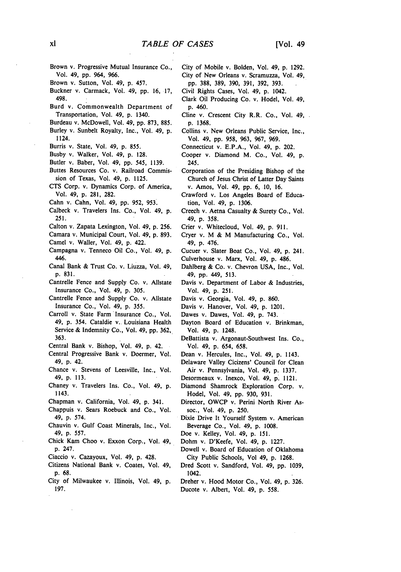- Brown v. Progressive Mutual Insurance **Co.,** Vol. 49, **pp.** 964, **966.**
- Brown v. Sutton, Vol. 49, **p.** 457.
- Buckner v. Carmack, Vol. 49, **pp. 16, 17,** 498.
- **Burd** v. Commonwealth Department of Transportation, Vol. 49, **p.** 1340.
- Burdeau v. McDowell, Vol. 49, **pp. 873, 885.**
- Burley v. Sunbelt Royalty, Inc., Vol. 49, **p.** 1124.
- Burris v. State, Vol. 49, **p. 855.**
- Busby **v.** Walker, Vol. 49, **p. 128.**
- Butler v. Baber, Vol. 49, **pp.** 545, **1139.**
- Buttes Resources Co. v. Railroad Commission of Texas, Vol. 49, **p. 1125.**
- **CTS** Corp. v. Dynamics Corp. of America, Vol. 49, **p. 281, 282.**
- Cahn v. Cahn, Vol. 49, **pp. 952, 953.**
- Calbeck v. Travelers Ins. Co., Vol. 49, **p. 251.**
- Calton v. Zapata Lexington, Vol. 49, **p. 256.**
- Camara v. Municipal Court, Vol. 49, **p. 893.**
- Camel v. Wailer, Vol. 49, **p.** 422.
- Campagna v. Tenneco Oil Co., Vol. 49, **p. 446.**
- Canal Bank **&** Trust Co. v. Liuzza, Vol. 49, **p. 831.**
- Cantrelle Fence and Supply Co. v. Allstate Insurance Co., Vol. 49, **p. 305.**
- Cantrelle Fence and Supply Co. **v.** Allstate Insurance Co., Vol. 49, **p. 355.**
- Carroll v. State Farm Insurance Co., Vol. 49, **p.** 354. Cataldie v. Louisiana Health Service **&** Indemnity Co., Vol. 49, **pp. 362, 363.**
- Central Bank v. Bishop, Vol. **49, p.** 42.
- Central Progressive Bank v. Doermer, Vol. 49, **p.** 42.
- Chance v. Stevens of Leesville, Inc., Vol. 49, **p. 113.**
- Chaney v. Travelers Ins. Co., Vol. 49, **p.** 1143.
- Chapman v. California, Vol. 49, **p.** 341.
- Chappuis **v.** Sears Roebuck and Co., Vol. 49, **p.** 574.
- Chauvin v. Gulf Coast Minerals, Inc., Vol. 49, **p. 557.**
- Chick Kam Choo v. Exxon Corp., Vol. 49, **p.** 247.
- Ciaccio v. Cazayoux, Vol. 49, p. 428.
- Citizens National Bank v. Coates, Vol. 49, **p. 68.**
- City of Milwaukee v. Illinois, Vol. 49, **p.** 197.
- City of Mobile v. Bolden, Vol. 49, **p. 1292.** City of New Orleans v. Scramuzza, Vol. 49, **pp. 388, 389, 390, 391, 392, 393.**
- Civil Rights Cases, Vol. 49, **p.** 1042.
- Clark Oil Producing Co. v. Hodel, Vol. 49, **p.** 460.
- Cline v. Crescent City R.R. Co., Vol. 49, **p. 1368.**
- Collins v. New Orleans Public Service, Inc., Vol. 49, **pp. 958, 963, 967, 969.**
- Connecticut v. **E.P.A.,** Vol. 49, **p.** 202.
- Cooper v. Diamond M. Co., Vol. 49, **p.** 245.
- Corporation of the Presiding Bishop of the Church of Jesus Christ of Latter Day Saints v. Amos, Vol. 49, **pp. 6,** 10, 16.
- Crawford v. Los Angeles Board of Education, Vol. 49, **p.** 1306.
- Creech v. Aetna Casualty & Surety Co., Vol. 49, p. 358.
- Crier v. Whitecloud, Vol. 49, p. 911.
- Cryer v. M & M Manufacturing Co., Vol. 49, p. 476.
- Cucuer v. Slater Boat Co., Vol. 49, p. 241.
- Culverhouse v. Marx, Vol. 49, p. 486.
- Dahlberg & Co. v. Chevron USA, Inc., Vol. 49, **pp.** 449, **513.**
- Davis **v.** Department of Labor **&** Industries, Vol. 49, **p. 251.**
- Davis v. Georgia, Vol. 49, **p. 860.**
- Davis v. Hanover, Vol. 49, **p.** 1201.
- Dawes v. Dawes, Vol. 49, **p.** 743.
- Dayton Board of Education v. Brinkman, Vol. 49, **p.** 1248.
- DeBattista v. Argonaut-Southwest Ins. Co., Vol. 49, **p.** 654, **658.**
- Dean v. Hercules, Inc., Vol. 49, **p.** 1143.
- Delaware Valley Cicizens' Council for Clean Air v. Pennsylvania, Vol. 49, **p. 1337.**
- Desormeaux v. Inexco, Vol. 49, **p.** 1121.
- Diamond Shamrock Exploration Corp. v. Hodel, Vol. 49, **pp. 930, 931.**
- Director, OWCP v. Perini North River Assoc., Vol. 49, **p. 250.**
- Dixie Drive It Yourself System **v.** American Beverage Co., Vol. 49, **p. 1008.**
- Doe v. Kelley, Vol. 49, **p. 151.**
- Dohm **v.** D'Keefe, Vol. 49, **p. 1227.**
- Dowell **v.** Board of Education of Oklahoma City Public Schools, Vol 49, **p. 1268.**
- Dred Scott v. Sandford, Vol. 49, **pp. 1039,** 1042.
- Dreher v. Hood Motor Co., Vol. 49, **p. 326.** Ducote v. Albert, Vol. 49, **p. 558.**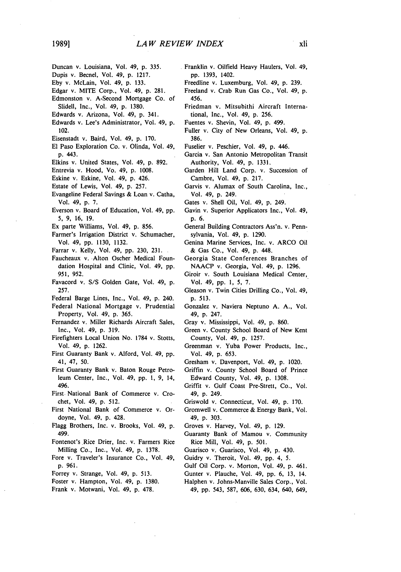- Duncan v. Louisiana, Vol. 49, p. 335.
- Dupis v. Becnel, Vol. 49, p. 1217.
- Eby v. McLain, Vol. 49, p. 133.
- Edgar v. MITE Corp., Vol. 49, p. 281.
- Edmonston v. A-Second Mortgage Co. of Slidell, Inc., Vol. 49, p. 1380.
- Edwards v. Arizona, Vol. 49, p. 341.
- Edwards v. Lee's Administrator, Vol. 49, p. 102.
- Eisenstadt v. Baird, Vol. 49, p. 170.
- El Paso Exploration Co. v. Olinda, Vol. 49, **p.** 443.
- Elkins v. United States, Vol. 49, **p. 892.**
- Entrevia v. Hood, Vo. 49, **p. 1008.**
- Eskine v. Eskine, Vol. 49, **p.** 426.
- Estate of Lewis, Vol. 49, **p. 257.**
- Evangeline Federal Savings **&** Loan v. Catha, Vol. 49, **p. 7.**
- Everson v. Board of Education, Vol. 49, **pp. 5, 9, 16, 19.**
- Ex parte Williams, Vol. 49, **p. 856.**
- Farmer's Irrigation District v, Schumacher,
- Vol. 49, **pp. 1130, 1132.**
- Farrar v. Kelly, Vol. 49, **pp. 230, 231.**
- Faucheaux v. Alton Oscher Medical Foundation Hospital and Clinic, Vol. 49, **pp. 951, 952.**
- Favacord v. **S/S** Golden Gate, Vol. 49, **p. 257.**
- Federal Barge Lines, Inc., Vol. 49, **p.** 240.
- Federal National Mortgage v. Prudential Property, Vol. 49, **p. 365.**
- Fernandez v. Miller Richards Aircraft Sales, Inc., Vol. 49, **p. 319.**
- Firefighters Local Union No. **1784** v. Stotts, Vol. 49, **p. 1262.**
- First Guaranty Bank v. Alford, Vol. 49, **pp.** 41, 47, **50.**
- First Guaranty Bank v. Baton Rouge Petroleum Center, Inc., Vol. 49, **pp. 1, 9,** 14, 496.
- First. National Bank of Commerce v. Crochet, Vol. 49, p. 512.
- First National Bank of Commerce v. Ordoyne, Vol. 49, p. 428.
- Flagg Brothers, Inc. v. Brooks, Vol. 49, p. 499.
- Fontenot's Rice Drier, Inc. v. Farmers Rice Milling Co., Inc., Vol. 49, p. 1378.
- Fore v. Traveler's Insurance Co., Vol. 49, p. 961.
- Forrey v. Strange, Vol. 49, p. 513.
- Foster v. Hampton, Vol. 49, p. 1380.
- Frank v. Motwani, Vol. 49, p. 478.
- Franklin v. Oilfield Heavy Haulers, Vol. 49, **pp. 1393,** 1402.
- Freedline v. Luxemburg, Vol. 49, **p. 239.**
- Freeland v. Crab Run Gas Co., Vol. 49, **p.** 456.
- Friedman v. Mitsubithi Aircraft International, Inc., Vol. 49, **p. 256.**
- Fuentes v. Shevin, Vol. 49, **p.** 499.
- Fuller v. City of New Orleans, Vol. 49, **p.** 386.
- Fuselier v. Peschier, Vol. 49, **p.** 446.
- Garcia v. San Antonio Metropolitan Transit Authority, Vol. 49, **p.** 1331.
- Garden Hill Land Corp. v. Succession of Cambre, Vol. 49, **p.** 217.
- Garvis v. Alumax of South Carolina, Inc., Vol. 49, **p.** 249.
- Gates v. Shell Oil, Vol. 49, **p.** 249.
- Gavin v. Superior Applicators Inc., Vol. 49, **p.** 6.
- General Building Contractors Ass'n. v. Pennsylvania, Vol. 49, p. 1290.
- Genina Marine Services, Inc. v. ARCO Oil & Gas Co., Vol. 49, **p.** 448.
- Georgia State Conferences Branches of NAACP v. Georgia, Vol. 49, p. 1296.
- Giroir v. South Louisiana Medical Center, Vol. 49, pp. 1, 5, 7.
- Gleason v. Twin Cities Drilling Co., Vol. 49, p. 513.
- Gonzalez v. Naviera Neptuno A. A., Vol. 49, p. 247.
- Gray v. Mississippi, Vol. 49, **p.** 860.
- Green v. County School Board of New Kent County, Vol. 49, p. 1257.
- Greenman v. Yuba Power Products, Inc., Vol. 49, **p.** 653.
- Gresham v. Davenport, Vol. 49, p. 1020.
- Griffin v. County School Board of Prince Edward County, Vol. 49, **p.** 1308.
- Griffit v. Gulf Coast Pre-Strett, Co., Vol. 49, p. 249.
- Griswold v. Connecticut, Vol. 49, p. 170.
- Gromwell v. Commerce &.Energy Bank, Vol. 49, p. 303.
- Groves v. Harvey, Vol. 49, p. 129.
- Guaranty Bank of Mamou v. Community Rice Mill, Vol. 49, p. 501.
- Guarisco v. Guarisco, Vol. 49, p. 430.
- Guidry v. Theroit, Vol. 49, **pp.** 4, 5.
- Gulf Oil Corp. v. Morton, Vol. 49, p. 461.
- Gunter v. Plauche, Vol. 49, pp. 6, 13, 14.
- Halphen v. Johns-Manville Sales Corp., Vol. 49, **pp.** 543, 587, 606, 630, 634, 640, 649,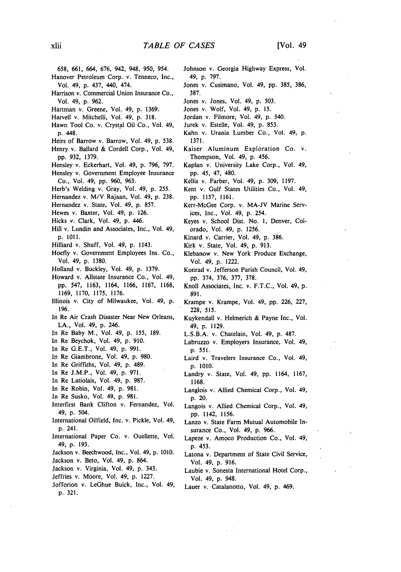- 658, 661, 664, 676, 942, 948, 950, 954.
- Hanover Petroleum Corp. v. Tenneco, Inc., Vol. 49, p. 437, 440, 474.
- Harrison v. Commercial Union Insurance Co., Vol. 49, p. 962.
- Hartman v. Greene, Vol. 49, p. 1369.
- Harvell v. Mitchelli, Vol, 49, p. 318.
- Hawn Tool Co. v. Crystal Oil Co., Vol. 49, **p.** 448.
- Heirs of Barrow v. Barrow, Vol. 49, p. 538.
- Henry v. Ballard & Cordell Corp., Vol. 49, pp. 932, 1379.
- Hensley v. Eckerhart, Vol. 49, p. 796, 797. Hensley v. Government Employee Insurance Co., Vol. 49, pp. 960, 963.
- Herb's Welding v. Gray, Vol. 49, p. 255.
- Hernandez v. M/V Rajaan, Vol. 49, p. 238.
- Hernandez v. State, Vol. 49, p. 857.
- Hewes v. Baxter, Vol. 49, p. 126.
- Hicks v. Clark, Vol. 49, p. 446.
- Hill v. Lundin and Associates, Inc., Vol. 49, p. **1011.**
- Hilliard v. Shuff, Vol. 49, p. 1143.
- Hoefly v. Government Employees Ins. Co., Vol. 49, p. 1380,
- Holland v. Buckley, Vol. 49, p. 1379.
- Howard v. Allstate Insurance Co., Vol. 49, pp. 547, 1163, 1164, 1166, 1167, 1168, 1169, 1170, 1175, 1176.
- Illinois v. City of Milwaukee, Vol. 49, p. 196.
- In Re Air Crash Disaster Near New Orleans, LA., Vol. 49, p. 246.
- In Re Baby M., Vol. 49, p. 155, 189.
- In Re Beychok, Vol. 49, p. 910.
- In Re G.E.T., Vol. 49, p. 991.
- In Re Giambrone, Vol. 49, p. 980.
- In Re Griffiths, Vol. 49, p. 489.
- In Re J.M.P., Vol. 49, p. 971.
- In Re Latiolais, Vol. 49, p. 987.
- In Re Robin, Vol. 49, p. 981.
- In Re Susko, Vol. 49, p. 981.
- lnterfirst Bank Clifton v. Fernandez, Vol. 49, p. 504.
- International Oilfield, Inc. v. Pickle, Vol. 49, p. 241.
- International Paper Co. v. Ouellette, Vol. 49, p. 193.
- Jackson v. Beechwood, Inc., Vol. 49, p. 1010.
- Jackson v. Beto, Vol. 49, p. 864.
- Jackson v. Virginia, Vol. 49, p. 343.
- Jeffries v. Moore, Vol. 49, p. 1227.
- Jofforion v. LeGhue Buick, Inc., Vol. 49, p. 321.
- Johnson v. Georgia Highway Express, Vol. 49, p. 797.
- Jones v. Cusimano, Vol. 49, pp. 385, 386, 387.
- Jones v. Jones, Vol. 49, p. 503.
- Jones v. Wolf, Vol. 49, p. 15.
- Jordan v. Filmore, Vol. 49, p. 540.
- Jurek v. Estelle, Vol. 49, p. 853.
- Kahn v. Urania Lumber Co., Vol. 49, p. 1371.
- Kaiser Aluminum Exploration Co. v. Thompson, Vol. 49, p. 456.
- Kaplan v. University Lake Corp., Vol. 49, pp. 45, 47, 480.
- Kellis v. Farber, Vol. 49, p. 309, 1197.
- Kent v. Gulf States Utilities Co., Vol. 49, pp. 1157, 1161.
- Kerr-McGee Corp. v. MA-JV Marine Services, Inc., Vol. 49, p. 254.
- Keyes v. School Dist. No. 1, Denver, Colorado, Vol. 49, p. 1256.
- Kinard v. Carrier, Yol. 49, p. 386.
- Kirk v. State, Vol. 49, p. 913.
- Klebanow v. New York Produce Exchange, Vol. 49, p. 1222.
- Konrad v. Jefferson Parish Council, Vol. 49, pp. 374, 376, 377, 378.
- Knoll Associates, Inc. v. F.T.C., Vol. 49, p. 891.
- Krampe v. Krampe, Vol. 49, pp. 226, 227, 228, 515.
- Kuykendall v. Helmerich & Payne Inc., Vol. 49, p. 1129.
- L.S.B.A. v. Chatelain, Vol. 49, p. 487.
- Labruzzo v. Employers Insurance, Vol. 49, p. *551.*
- Laird v. Travelers Insurance Co., Vol. 49, p. 1010.
- Landry v. State, Vol. 49, pp. 1164, 1167, **1168.**
- Langlois v. Allied Chemical Corp., Vol. 49, p. 20.
- Langois v. Allied Chemical Corp., Vol. 49, pp. 1142, 1156.
- Lanzo v. State Farm Mutual Automobile Insurance Co., Vol. 49, p. 966.
- Lapeze v. Amoco Production Co., Vol. 49, p. 453.
- Latona v. Department of State Civil Service, Vol. 49, p. 916.
- Laubie v. Sonesta International Hotel Corp., Vol. 49, p. 948.
- Lauer v. Catalanotto, Vol. 49, p. 469.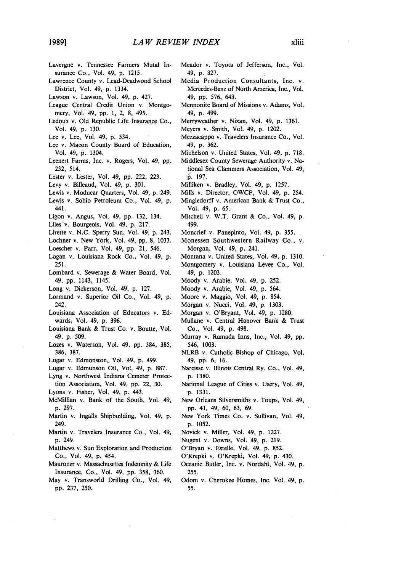- Lavergne v. Tennessee Farmers Mutal Insurance Co., Vol. 49, p. 1215.
- Lawrence County v. Lead-Deadwood School District, Vol. 49, p. 1334.
- Lawson v. Lawson, Vol. 49, p. 427.
- League Central Credit Union v. Montgomery, Vol. 49, **pp.** 1, 2, 8, 495.
- Ledoux v. Old Republic Life Insurance Co., Vol. 49, p. 130.
- Lee v. Lee, Vol. 49, p. 534.
- Lee v. Macon County Board of Education, Vol. 49, p. 1304.
- Leenert Farms, Inc. v. Rogers, Vol. 49, pp. 232, 514.
- Lester v. Lester, Vol. 49, pp. 222, 223.
- Levy v. Billeaud, Vol. 49, p. 301.
- Lewis v. Moducar Quarters, Vol. 49, p. 249.
- Lewis v. Sohio Petroleum Co., Vol. 49, p. 441.
- Ligon v. Angus, Vol. 49, pp. 132, 134.
- Liles v. Bourgeois, Vol. 49, p. 217.
- Lirette v. N.C. Sperry Sun, Vol. 49, p. 243.
- Lochner v. New York, Vol. 49, pp. 8, 1033.
- Loescher v. Parr, Vol. 49, pp. 21, 546.
- Logan v. Louisiana Rock Co., Vol. 49, p. 251.
- Lombard v. Sewerage & Water Board, Vol. 49, pp. 1143, 1145.
- Long v. Dickerson, Vol. 49, p. 127.
- Lormand v. Superior Oil Co., Vol. 49, p. 242.
- Louisiana Association of Educators v. Edwards, Vol. 49, p. 396.
- Louisiana Bank & Trust Co. v. Boutte, Vol. 49, **p.** 509.
- Lozes v. Waterson, Vol. 49, pp. 384, 385, 386, 387.
- Lugar v. Edmonston, Vol. 49, p. 499.
- Lugar v. Edmunson Oil, Vol. 49, p. 887.
- Lyng v. Northwest Indiana Cemeter Protec-
- tion Association, Vol. 49, pp. 22, 30.
- Lyons v. Fisher, Vol. 49, p. 443.
- McMillian v. Bank of the South, Vol. 49, p. 297.
- Martin v. Ingalls Shipbuilding, Vol. 49, p. 249.
- Martin v. Travelers Insurance Co., Vol. 49, p. 249.
- Matthews v. Sun Exploration and Production Co., Vol. 49, p. 454.
- Mauroner v. Massachusettes Indemnity & Life Insurance, Co., Vol. 49, pp. 358, 360.
- May v. Transworld Drilling Co., Vol. 49, pp. 237, 250.
- Meador v. Toyota of Jefferson, Inc., Vol. 49, p. 327.
- Media Production Consultants, Inc. v. Mercedes-Benz of North America, Inc., Vol. 49, pp. 576, 643.
- Mennonite Board of Missions v. Adams, Vol. 49, p. 499.
- Merryweather v. Nixan, Vol. 49, p. 1361.
- Meyers v. Smith, Vol. 49, p. 1202.
- Mezzacappo v. Travelers Insurance Co., Vol. 49, p. 362.
- Michelson v. United States, Vol. 49, p. 718.
- Middlesex County Sewerage Authority v. National Sea Clammers Association, Vol. 49, p. 197.
- Milliken v. Bradley, Vol. 49, p. 1257.
- Mills v. Director, OWCP, Vol. 49, p. 254.
- Mingledorff v. American Bank & Trust Co., Vol. 49, p. 65.
- Mitchell v. W.T. Grant & Co., Vol. 49, p. 499.
- Moncrief v. Panepinto, Vol. 49, p. 355.
- Monessen Southwestern Railway Co., v. Morgan, Vol. 49, p. 241.
- Montana v. United States, Vol. 49, p. 1310.
- Montgomery v. Louisiana Levee Co., Vol. 49, p. 1203.
- Moody v. Arabie, Vol. 49, p. 252.
- Moody v. Arabie, Vol. 49, p. 564.
- Moore v. Maggio, Vol. 49, p. 854.
- Morgan v. Nucci, Vol. 49, p. 1303.
- Morgan v. O'Bryant, Vol. 49, p. 1280.
- Mullane v. Central Hanover Bank & Trust Co., Vol. 49, p. 498.
- Murray v. Ramada Inns, Inc., Vol. 49, pp. 546, 1003.
- NLRB v. Catholic Bishop of Chicago, Vol. 49, pp. 6, 16.
- Narcisse v. Illinois Central Ry. Co., Vol. 49, p. 1380.
- National League of Cities v. Usery, Vol. 49, p. 1331.
- New Orleans Silversmiths v. Toups, Vol. 49, pp. 41, 49, 60, 63, 69.
- New York Times Co. v. Sullivan, Vol. 49, p. 1052.
- Novick v. Miller, Vol. 49, p. 1227.
- Nugent v. Downs, Vol. 49, p. 219.
- O'Bryan v. Estelle, Vol. 49, p. 852.
- O'Krepki v. O'Krepki, Vol. 49, p. 430.
- Oceanic Butler, Inc. v. Nordahl, Vol. 49, p. 255.
- Odom v. Cherokee Homes, Inc. Vol. 49, p. 55.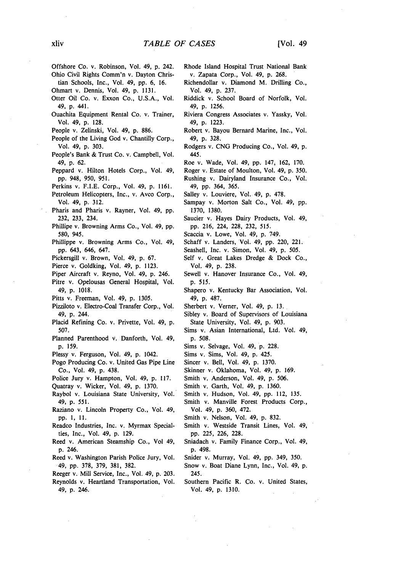- Offshore Co. v. Robinson, Vol. 49, **p.** 242.
- Ohio Civil Rights Comm'n v. Dayton Christian Schools, Inc., Vol. 49, pp. 6, 16.
- Ohmart v. Dennis, Vol. 49, p. 1131.
- Otter Oil Co. v. Exxon Co., U.S.A., Vol. 49, p. 441.
- Ouachita Equipment Rental Co. v. Trainer, Vol. 49, p. 128.
- People v. Zelinski, Vol. 49, p. 886.
- People of the Living God v. Chantilly Corp., Vol. 49, p. 303.
- People's Bank & Trust Co. v. Campbell, Vol. 49, p. 62.
- Peppard v. Hilton Hotels Corp., Vol. 49, pp. 948, 950, 951.
- Perkins v. F.I.E. Corp., Vol. 49, p. 1161.
- Petroleum Helicopters, Inc., v. Avco Corp., Vol. 49, p. 312.
- Pharis and Pharis v. Rayner, Vol. 49, pp. 232, 233, 234.
- Phillipe v. Browning Arms Co., Vol. 49, pp. 580, 945.
- Phillippe v. Browning Arms Co., Vol. 49, pp. 643, 646, 647.
- Pickersgill v. Brown, Vol. 49, p. 67.
- Pierce v. Goldking, Vol. 49, p. 1123.
- Piper Aircraft v. Reyno, Vol. 49, p. 246.
- Pitre v. Opelousas General Hospital, Vol. 49, p. 1018.
- Pitts v. Freeman, Vol. 49, p. 1305.
- Pizziloto v. Electro-Coal Transfer Corp., Vol. 49, p. 244.
- Placid Refining Co. v. Privette, Vol. 49, p. 507.
- Planned Parenthood v. Danforth, Vol. 49, p. 159.
- Plessy v. Ferguson, Vol. 49, p. 1042.
- Pogo Producing Co. v. United Gas Pipe Line Co., Vol. 49, p. 438.
- Police Jury v. Hampton, Vol. 49, p. 117.
- Quatray v. Wicker, Vol. 49, p. 1370.
- Raybol v. Louisiana State University, Vol. 49, p. 551.
- Raziano v. Lincoln Property Co., Vol. 49, pp. **1, 11.**
- Readco Industries, Inc. v. Myrmax Specialties, Inc., Vol. 49, p. 129.
- Reed v. American Steamship Co., Vol 49, p. 246.
- Reed v. Washington Parish Police Jury, Vol. 49, pp. 378, 379, 381, 382.
- Reeger v. Mill Service, Inc., Vol. 49, p. 203. Reynolds v. Heartland Transportation, Vol. 49, p. 246.
- Rhode Island Hospital Trust National Bank v. Zapata Corp., Vol. 49, **p.** 268.
- Richendollar v. Diamond M. Drilling Co., Vol. 49, p. 237.
- Riddick v. School Board of Norfolk, Vol. 49, p. 1256.
- Riviera Congress Associates v. Yassky, Vol. 49, p. 1223.
- Robert v. Bayou Bernard Marine, Inc., Vol. 49, p. 328.
- Rodgers v. CNG Producing Co., Vol. 49, p. 445.
- Roe v. Wade, Vol. 49, pp. 147, 162, 170.
- Roger v. Estate of Moulton, Vol. 49, p. 350.
- Rushing v. Dairyland Insurance Co., Vol. 49, pp. 364, 365.
- Salley v. Louviere, Vol. 49, p. 478.
- Sampay v. Morton Salt Co., Vol. 49, pp. 1370, 1380.
- Saucier v. Hayes Dairy Products, Vol. 49, pp. 216, 224, 228, 232, 515.
- Scaccia v. Lowe, Vol. 49, p. 749.
- Schaff v. Landers, Vol. 49, pp. 220, 221.
- Seashell, Inc. v. Simon, Vol. 49, p. 505.
- Self v. Great Lakes Dredge & Dock Co., Vol. 49, p. 238.
- Sewell v. Hanover Insurance Co., Vol. 49, p. 515.
- Shapero v. Kentucky Bar Association, Vol. 49, p. 487.
- Sherbert v. Verner, Vol. 49, p. 13.
- Sibley v, Board of Supervisors of Louisiana State University, Vol. 49, p. 903.
- Sims v. Asian International, Ltd. Vol. 49, **p. 508.**
- Sims v. Selvage, Vol. 49, p. 228.
- Sims v. Sims, Vol. 49, p. 425.
- Sincer v. Bell, Vol. 49, p. 1370.
- Skinner v. Oklahoma, Vol. 49, p. 169.
- Smith v. Anderson, Vol. 49, p. 506.
- Smith v. Garth, Vol. 49, p. 1360.
- Smith v. Hudson, Vol. 49, pp. 112, 135.
	- Smith v. Manville Forest Products Corp., Vol. 49, p. 360, 472.
	- Smith v. Nelson, Vol. 49, p. 832.
	- Smith v. Westside Transit Lines, Vol. 49, pp. 225, 226, 228.
	- Sniadach v. Family Finance Corp., Vol. 49, p. 498.
	- Snider v. Murray, Vol. 49, pp. 349, 350.
	- Snow v. Boat Diane Lynn, Inc., Vol. 49, p. 245.
	- Southern Pacific R. Co. v. United States, Vol. 49, p. 1310.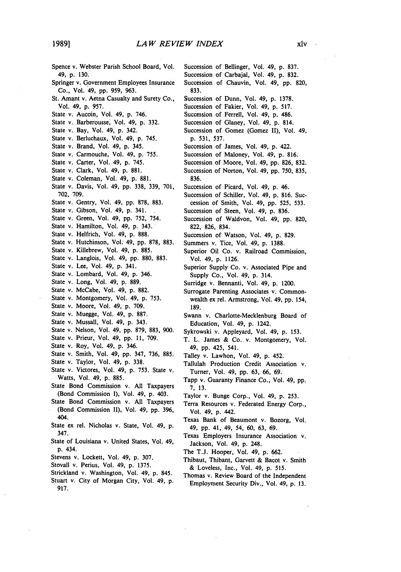Spence v. Webster Parish School Board, Vol. 49, p. 130. Springer v. Government Employees Insurance Co., Vol. 49, pp. 959, 963. St. Amant v. Aetna Casualty and Surety Co,, Vol. 49, p. 957. State v. Aucoin, Vol. 49, p. 746. State v. Barberousse, Vol. 49, p. 332. State v. Bay, Vol. 49, p. 342. State v. Berluchaux, Vol. 49, p. 745. State v. Brand, Vol. 49, p. 345. State v. Carmouche, Vol. 49, p. 755. State v. Carter, Vol. 49, **p.** 745. State v. Clark, Vol. 49, p. 881. State v. Coleman, Vol. 49, p. 881. State v. Davis, Vol. 49, pp. 338, 339, 701, 702, 709. State v. Gentry, Vol. 49, pp. 878, 883. State v. Gibson, Vol. 49, p. 341. State v. Green, Vol. 49, pp. 752, 754. State v. Hamilton, Vol. 49, p. 343. State v. Helfrich, Vol. 49, p. 888. State v. Hutchinson, Vol. 49, pp. 878, 883. State v. Killebrew, Vol. 49, p. 885. State v. Langlois, Vol. 49, **pp. 880,** 883. State v. Lee, Vol. 49, p. 341. State v. Lombard, Vol. 49, p. 346. State v. Long, Vol. 49, p. 889. State v. McCabe, Vol. 49, **p.** 882. State v. Montgomery, Vol. 49, p. 753. State v. Moore, Vol. 49, p. 709. State v. Muegge, Vol. 49, p. 887. State v. Mussall, Vol. 49, p. 343. State v. Nelson, Vol. 49, pp. 879, 883, 900. State v. Prieur, Vol. 49, pp. 11, 709. State v. Roy, Vol. 49, p. 346. State v. Smith, Vol. 49, pp. 347, 736, 885. State v. Taylor, Vol. 49, **p.** 338. State v. Victores, Vol. 49, p. 753. State v. Watts, Vol. 49, p. 885. State Bond Commission v. All Taxpayers (Bond Commission I), Vol. 49, p. 403. State Bond Commission v. All Taxpayers (Bond Commission **11),** Vol. 49, pp. 396, 404. State ex rel. Nicholas v. State, Vol. 49, p. 347. State of Louisiana v. United States, Vol. 49, **p.** 434. Stevens v. Lockett, Vol. 49, p. 307. Stovall v. Perius, Vol. 49, p. 1375. Strickland v. Washington, Vol. 49, p. 845. Stuart v. City of Morgan City, Vol. 49, p. 917.

Succession of Bellinger, Vol. 49, p. 837. Succession of Carbajal, Vol. 49, p. 832.

- Succession of Chauvin, Vol. 49, **pp.** 820, 833.
- Succession of Dunn, Vol. 49, p. 1378.
- Succession of Fakier, Vol. 49, **p,** 517.
- Succession of Ferrell, Vol. 49, p. 486.
- Succession of Glaney, Vol. 49, p. 814.
- Succession of Gomez (Gomez II), Vol. 49, p. 531, 537.
- Succession of James, Vol. 49, p. 422.
- Succession of Maloney, Vol. 49, p. 816.
- Succession of Moore, Vol. 49, pp. 826, 832.
- Succession of Norton, Vol. 49, pp. 750, 835, 836.
- Succession of Picard, Vol. 49, p. 46.
- Succession of Schiller, Vol. 49, p. 816. Succession of Smith, Vol. 49, pp. 525, 533.
- Succession of Steen, Vol. 49, p. 836.
- Succession of Waldvon, Vol. 49, pp. 820, 822, 826, 834.
- Succession of Watson, Vol. 49, p. 829.
- Summers v. Tice, Vol. 49, p. 1388.
- Superior Oil Co. v. Railroad Commission, Vol. 49, p. 1126.
- Superior Supply Co. v. Associated Pipe and Supply Co., Vol. 49, p. 314.
- Surridge v. Bennanti, Vol. 49, p. 1200.
- Surrogate Parenting Associates v. Commonwealth ex rel. Armstrong, Vol. 49, pp. 154, 189.
- Swann v. Charlotte-Mecklenburg Board of Education, Vol. 49, p. 1242.
- Sykrowski v. Appleyard, Vol. 49, p. 153.
- T. L. James & Co. v. Montgomery, Vol. 49, pp. 425, 541.
- Talley v. Lawhon, Vol. 49, p. 452.
- Tallulah Production Credit Association v. Turner, Vol. 49, pp. 63, **66,** 69.
- Tapp v. Guaranty Finance Co., Vol. 49, pp. 7, 13.
- Taylor v. Bunge Corp., Vol. 49, p. 253.
- Terra Resources v. Federated Energy Corp., Vol. 49, p. 442.
- Texas Bank of Beaumont v. Bozorg, Vol. 49, pp. 41, 49, 54, 60, 63, 69.
- Texas Employers Insurance Association v. Jackson, Vol. 49, p. 248.
- The T.J. Hooper, Vol. 49, p. 662.
- Thibaut, Thibant, Garvett & Bacot v. Smith & Loveless, Inc., Vol. 49, p. 515.
- Thomas v. Review Board of the Independent Employment Security Div., Vol. 49, p. 13.